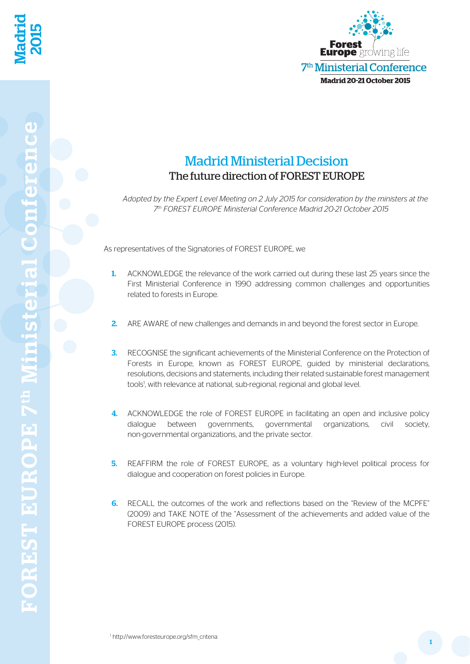

## Madrid Ministerial Decision The future direction of FOREST EUROPE

*Adopted by the Expert Level Meeting on 2 July 2015 for consideration by the ministers at the 7th FOREST EUROPE Ministerial Conference Madrid 20-21 October 2015*

As representatives of the Signatories of FOREST EUROPE, we

- 1. ACKNOWLEDGE the relevance of the work carried out during these last 25 years since the First Ministerial Conference in 1990 addressing common challenges and opportunities related to forests in Europe.
- 2. ARE AWARE of new challenges and demands in and beyond the forest sector in Europe.
- **3.** RECOGNISE the significant achievements of the Ministerial Conference on the Protection of Forests in Europe, known as FOREST EUROPE, guided by ministerial declarations, resolutions, decisions and statements, including their related sustainable forest management tools<sup>1</sup>, with relevance at national, sub-regional, regional and global level.
- **4.** ACKNOWLEDGE the role of FOREST EUROPE in facilitating an open and inclusive policy dialogue between governments, governmental organizations, civil society, non-governmental organizations, and the private sector.
- **5.** REAFFIRM the role of FOREST EUROPE, as a voluntary high-level political process for dialogue and cooperation on forest policies in Europe.
- 6. RECALL the outcomes of the work and reflections based on the "Review of the MCPFE" (2009) and TAKE NOTE of the "Assessment of the achievements and added value of the FOREST EUROPE process (2015).

Madrid

2015